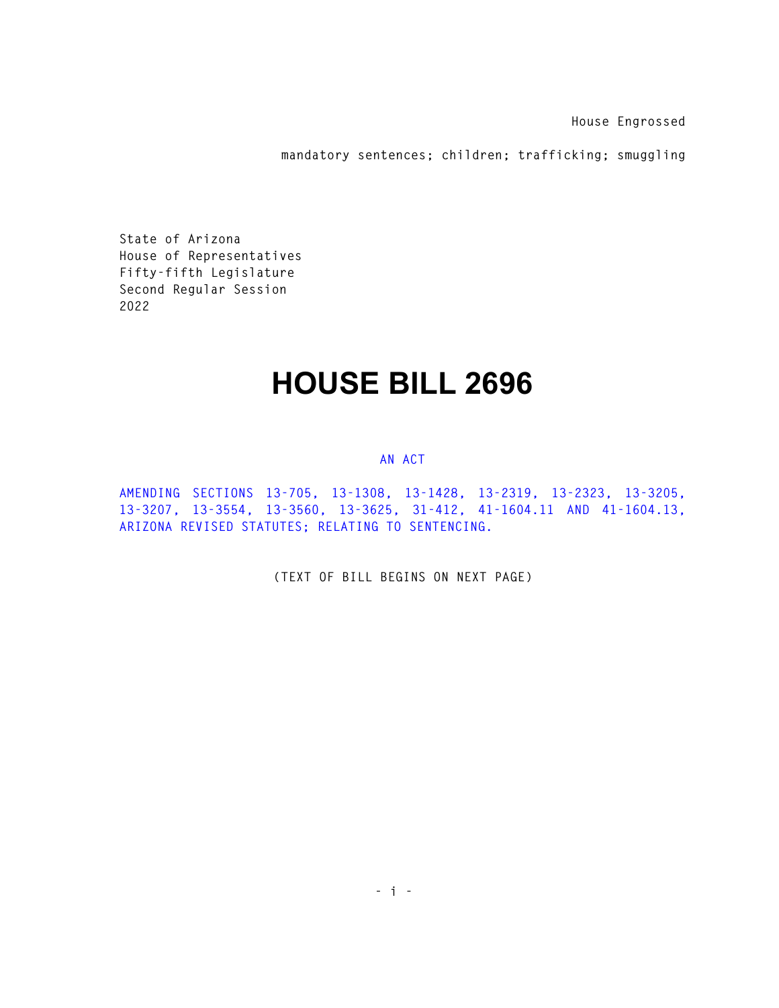**House Engrossed** 

**mandatory sentences; children; trafficking; smuggling** 

**State of Arizona House of Representatives Fifty-fifth Legislature Second Regular Session 2022** 

## **HOUSE BILL 2696**

## **AN ACT**

**AMENDING SECTIONS 13-705, 13-1308, 13-1428, 13-2319, 13-2323, 13-3205, 13-3207, 13-3554, 13-3560, 13-3625, 31-412, 41-1604.11 AND 41-1604.13, ARIZONA REVISED STATUTES; RELATING TO SENTENCING.** 

**(TEXT OF BILL BEGINS ON NEXT PAGE)**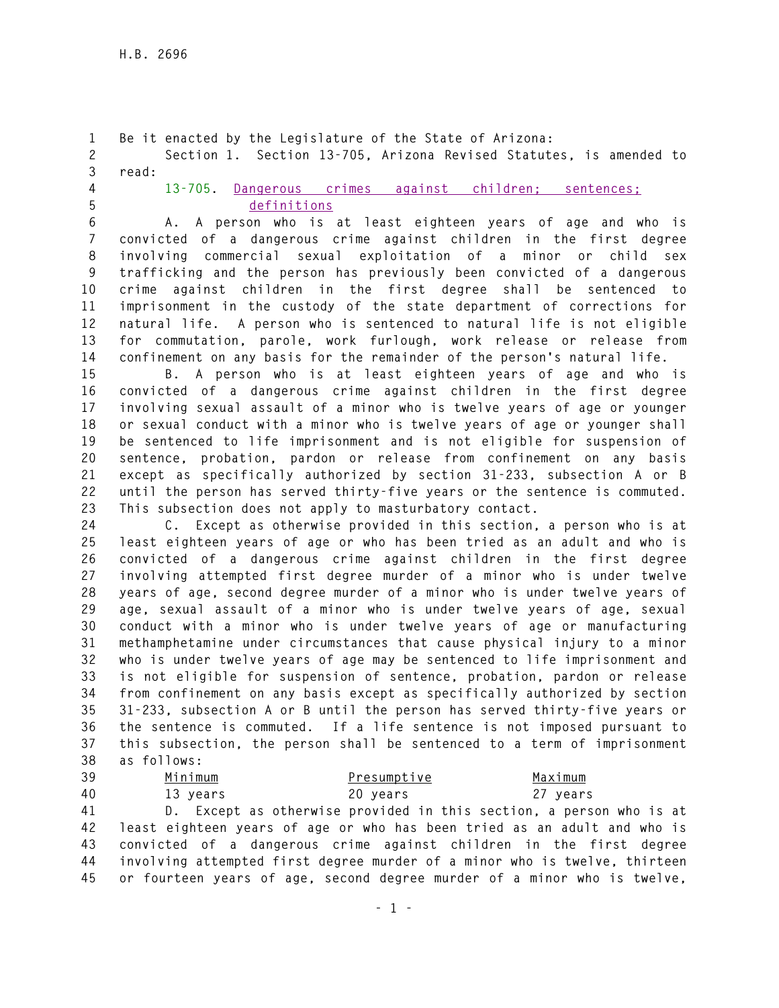**1 Be it enacted by the Legislature of the State of Arizona: 2 Section 1. Section 13-705, Arizona Revised Statutes, is amended to 3 read: 4 13-705. Dangerous crimes against children; sentences; 5 definitions 6 A. A person who is at least eighteen years of age and who is 7 convicted of a dangerous crime against children in the first degree 8 involving commercial sexual exploitation of a minor or child sex 9 trafficking and the person has previously been convicted of a dangerous 10 crime against children in the first degree shall be sentenced to 11 imprisonment in the custody of the state department of corrections for 12 natural life. A person who is sentenced to natural life is not eligible 13 for commutation, parole, work furlough, work release or release from 14 confinement on any basis for the remainder of the person's natural life. 15 B. A person who is at least eighteen years of age and who is 16 convicted of a dangerous crime against children in the first degree 17 involving sexual assault of a minor who is twelve years of age or younger 18 or sexual conduct with a minor who is twelve years of age or younger shall 19 be sentenced to life imprisonment and is not eligible for suspension of 20 sentence, probation, pardon or release from confinement on any basis 21 except as specifically authorized by section 31-233, subsection A or B 22 until the person has served thirty-five years or the sentence is commuted. 23 This subsection does not apply to masturbatory contact. 24 C. Except as otherwise provided in this section, a person who is at 25 least eighteen years of age or who has been tried as an adult and who is 26 convicted of a dangerous crime against children in the first degree 27 involving attempted first degree murder of a minor who is under twelve 28 years of age, second degree murder of a minor who is under twelve years of 29 age, sexual assault of a minor who is under twelve years of age, sexual 30 conduct with a minor who is under twelve years of age or manufacturing 31 methamphetamine under circumstances that cause physical injury to a minor 32 who is under twelve years of age may be sentenced to life imprisonment and 33 is not eligible for suspension of sentence, probation, pardon or release 34 from confinement on any basis except as specifically authorized by section 35 31-233, subsection A or B until the person has served thirty-five years or 36 the sentence is commuted. If a life sentence is not imposed pursuant to 37 this subsection, the person shall be sentenced to a term of imprisonment 38 as follows: 39 Minimum Presumptive Maximum 40 13 years 20 years 27 years 41 D. Except as otherwise provided in this section, a person who is at** 

**42 least eighteen years of age or who has been tried as an adult and who is 43 convicted of a dangerous crime against children in the first degree 44 involving attempted first degree murder of a minor who is twelve, thirteen 45 or fourteen years of age, second degree murder of a minor who is twelve,**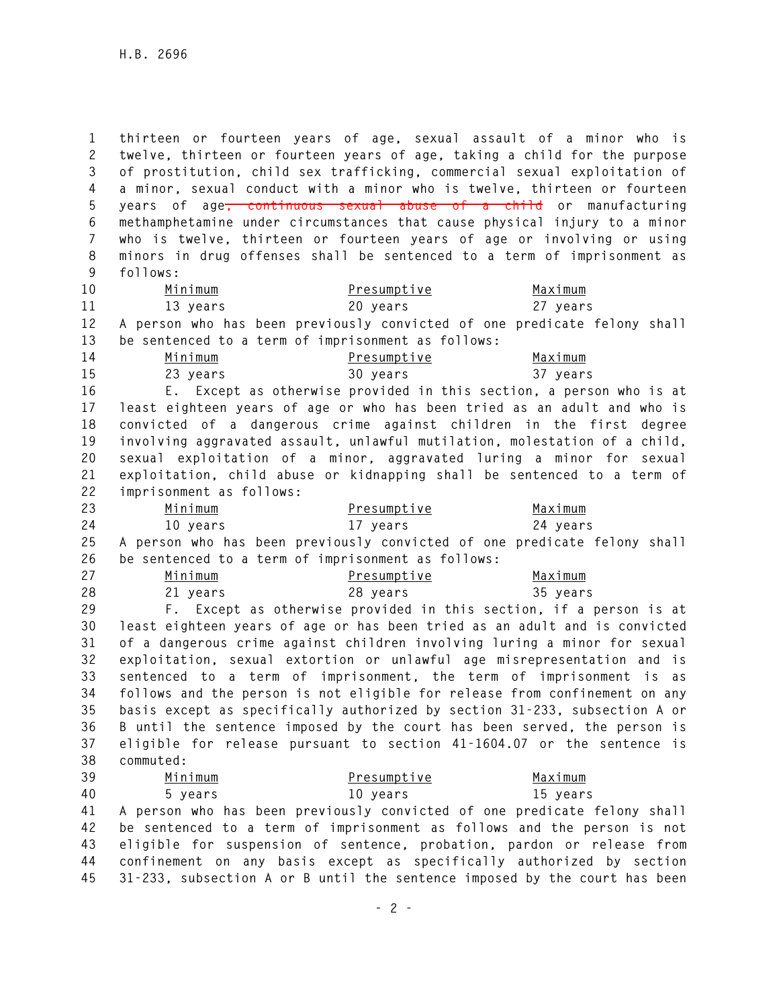**1 thirteen or fourteen years of age, sexual assault of a minor who is 2 twelve, thirteen or fourteen years of age, taking a child for the purpose 3 of prostitution, child sex trafficking, commercial sexual exploitation of 4 a minor, sexual conduct with a minor who is twelve, thirteen or fourteen 5 years of age, continuous sexual abuse of a child or manufacturing 6 methamphetamine under circumstances that cause physical injury to a minor 7 who is twelve, thirteen or fourteen years of age or involving or using 8 minors in drug offenses shall be sentenced to a term of imprisonment as 9 follows:** 

**10 Minimum Presumptive Maximum 11 13 years 20 years 27 years** 

**12 A person who has been previously convicted of one predicate felony shall 13 be sentenced to a term of imprisonment as follows:** 

| 14 | Minimum  | Presumptive | Maximum  |
|----|----------|-------------|----------|
| 15 | 23 years | 30 vears    | 37 years |

**16 E. Except as otherwise provided in this section, a person who is at 17 least eighteen years of age or who has been tried as an adult and who is 18 convicted of a dangerous crime against children in the first degree 19 involving aggravated assault, unlawful mutilation, molestation of a child, 20 sexual exploitation of a minor, aggravated luring a minor for sexual 21 exploitation, child abuse or kidnapping shall be sentenced to a term of 22 imprisonment as follows:** 

| 23 | Minimum  | Presumptive                                                                 | Maximum  |
|----|----------|-----------------------------------------------------------------------------|----------|
| 24 | 10 vears | 17 vears                                                                    | 24 vears |
|    |          | 25 A person who has been previously convicted of one predicate felony shall |          |
| 26 |          | be sentenced to a term of imprisonment as follows:                          |          |

| 27 | Minimum  | Presumptive | Maximum  |
|----|----------|-------------|----------|
| 28 | 21 years | 28 years    | 35 years |

**29 F. Except as otherwise provided in this section, if a person is at 30 least eighteen years of age or has been tried as an adult and is convicted 31 of a dangerous crime against children involving luring a minor for sexual 32 exploitation, sexual extortion or unlawful age misrepresentation and is 33 sentenced to a term of imprisonment, the term of imprisonment is as 34 follows and the person is not eligible for release from confinement on any 35 basis except as specifically authorized by section 31-233, subsection A or 36 B until the sentence imposed by the court has been served, the person is 37 eligible for release pursuant to section 41-1604.07 or the sentence is 38 commuted:** 

| 39 | Minimum | Presumptive | Maximum                                                                     |
|----|---------|-------------|-----------------------------------------------------------------------------|
| 40 | 5 years | 10 vears    | 15 vears                                                                    |
|    |         |             | 41 A person who has been previously convicted of one predicate felony shall |
|    |         |             | 42 be sentenced to a term of imprisonment as follows and the person is not  |
|    |         |             | 43 eligible for suspension of sentence, probation, pardon or release from   |
|    |         |             | ll confirement en snu basis eveent as specifically sutherized by section    |

**44 confinement on any basis except as specifically authorized by section 45 31-233, subsection A or B until the sentence imposed by the court has been**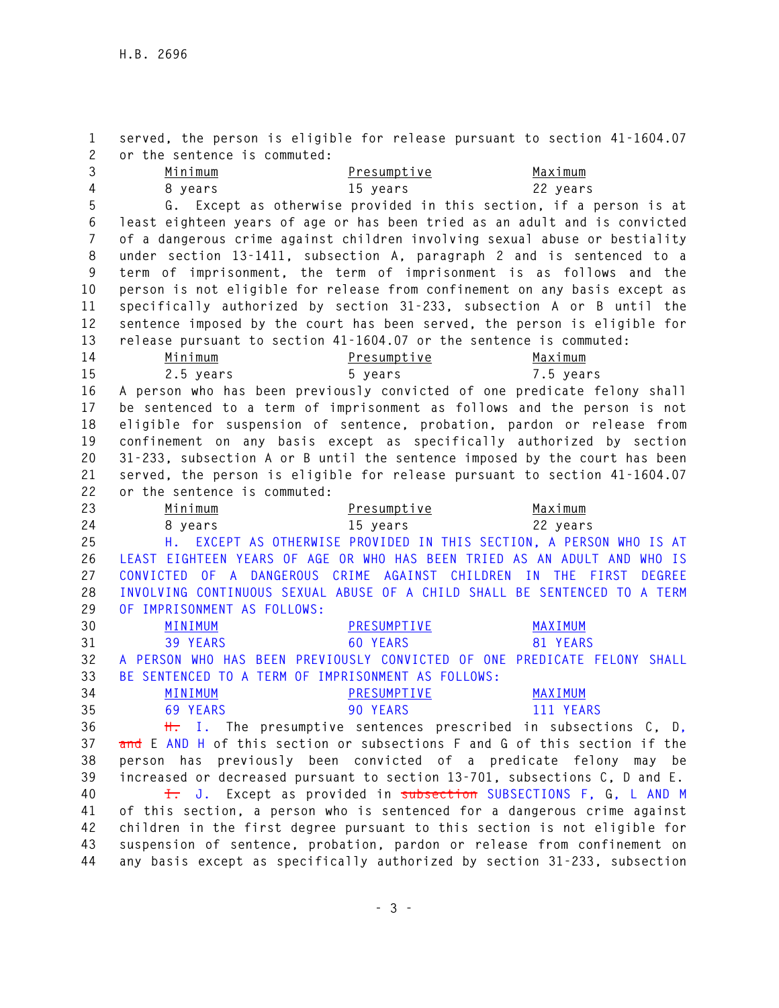**1 served, the person is eligible for release pursuant to section 41-1604.07 2 or the sentence is commuted: 3 Minimum Presumptive Maximum 4 8 years 15 years 22 years 5 G. Except as otherwise provided in this section, if a person is at 6 least eighteen years of age or has been tried as an adult and is convicted 7 of a dangerous crime against children involving sexual abuse or bestiality 8 under section 13-1411, subsection A, paragraph 2 and is sentenced to a 9 term of imprisonment, the term of imprisonment is as follows and the 10 person is not eligible for release from confinement on any basis except as 11 specifically authorized by section 31-233, subsection A or B until the 12 sentence imposed by the court has been served, the person is eligible for 13 release pursuant to section 41-1604.07 or the sentence is commuted: 14 Minimum Presumptive Maximum 15 2.5 years 5 years 7.5 years 16 A person who has been previously convicted of one predicate felony shall 17 be sentenced to a term of imprisonment as follows and the person is not 18 eligible for suspension of sentence, probation, pardon or release from 19 confinement on any basis except as specifically authorized by section 20 31-233, subsection A or B until the sentence imposed by the court has been 21 served, the person is eligible for release pursuant to section 41-1604.07 22 or the sentence is commuted: 23 Minimum Presumptive Maximum 24 8 years 15 years 22 years 25 H. EXCEPT AS OTHERWISE PROVIDED IN THIS SECTION, A PERSON WHO IS AT 26 LEAST EIGHTEEN YEARS OF AGE OR WHO HAS BEEN TRIED AS AN ADULT AND WHO IS 27 CONVICTED OF A DANGEROUS CRIME AGAINST CHILDREN IN THE FIRST DEGREE 28 INVOLVING CONTINUOUS SEXUAL ABUSE OF A CHILD SHALL BE SENTENCED TO A TERM 29 OF IMPRISONMENT AS FOLLOWS: 30 MINIMUM PRESUMPTIVE MAXIMUM 31 39 YEARS 60 YEARS 81 YEARS 32 A PERSON WHO HAS BEEN PREVIOUSLY CONVICTED OF ONE PREDICATE FELONY SHALL 33 BE SENTENCED TO A TERM OF IMPRISONMENT AS FOLLOWS: 34 MINIMUM PRESUMPTIVE MAXIMUM 35 69 YEARS 90 YEARS 111 YEARS 36 H. I. The presumptive sentences prescribed in subsections C, D, 37 and E AND H of this section or subsections F and G of this section if the 38 person has previously been convicted of a predicate felony may be 39 increased or decreased pursuant to section 13-701, subsections C, D and E. 40 I. J. Except as provided in subsection SUBSECTIONS F, G, L AND M 41 of this section, a person who is sentenced for a dangerous crime against 42 children in the first degree pursuant to this section is not eligible for 43 suspension of sentence, probation, pardon or release from confinement on 44 any basis except as specifically authorized by section 31-233, subsection**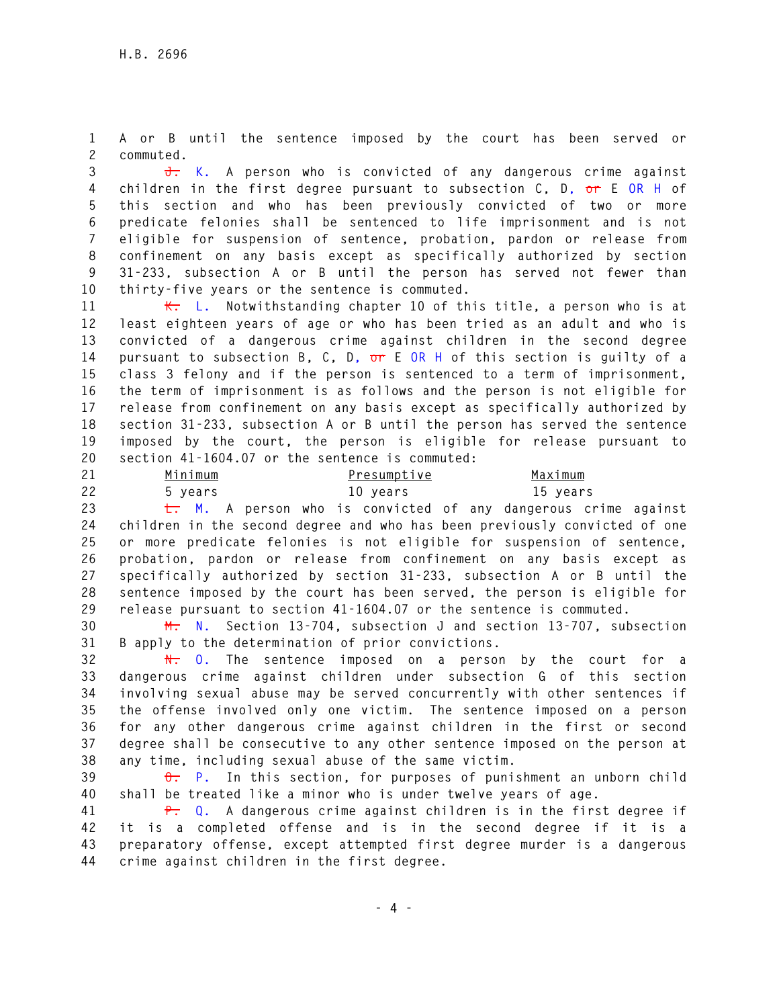**1 A or B until the sentence imposed by the court has been served or 2 commuted.** 

**3 J. K. A person who is convicted of any dangerous crime against 4 children in the first degree pursuant to subsection C, D, or E OR H of 5 this section and who has been previously convicted of two or more 6 predicate felonies shall be sentenced to life imprisonment and is not 7 eligible for suspension of sentence, probation, pardon or release from 8 confinement on any basis except as specifically authorized by section 9 31-233, subsection A or B until the person has served not fewer than 10 thirty-five years or the sentence is commuted.** 

**11 K. L. Notwithstanding chapter 10 of this title, a person who is at 12 least eighteen years of age or who has been tried as an adult and who is 13 convicted of a dangerous crime against children in the second degree 14 pursuant to subsection B, C, D, or E OR H of this section is guilty of a 15 class 3 felony and if the person is sentenced to a term of imprisonment, 16 the term of imprisonment is as follows and the person is not eligible for 17 release from confinement on any basis except as specifically authorized by 18 section 31-233, subsection A or B until the person has served the sentence 19 imposed by the court, the person is eligible for release pursuant to 20 section 41-1604.07 or the sentence is commuted:** 

| 21 | Minimum | Presumptive | Maximum  |
|----|---------|-------------|----------|
| 22 | 5 vears | 10 years    | 15 years |

**23 L. M. A person who is convicted of any dangerous crime against 24 children in the second degree and who has been previously convicted of one 25 or more predicate felonies is not eligible for suspension of sentence, 26 probation, pardon or release from confinement on any basis except as 27 specifically authorized by section 31-233, subsection A or B until the 28 sentence imposed by the court has been served, the person is eligible for 29 release pursuant to section 41-1604.07 or the sentence is commuted.** 

**30 M. N. Section 13-704, subsection J and section 13-707, subsection 31 B apply to the determination of prior convictions.** 

**32 N. O. The sentence imposed on a person by the court for a 33 dangerous crime against children under subsection G of this section 34 involving sexual abuse may be served concurrently with other sentences if 35 the offense involved only one victim. The sentence imposed on a person 36 for any other dangerous crime against children in the first or second 37 degree shall be consecutive to any other sentence imposed on the person at 38 any time, including sexual abuse of the same victim.** 

**39 O. P. In this section, for purposes of punishment an unborn child 40 shall be treated like a minor who is under twelve years of age.** 

**41 P. Q. A dangerous crime against children is in the first degree if 42 it is a completed offense and is in the second degree if it is a 43 preparatory offense, except attempted first degree murder is a dangerous 44 crime against children in the first degree.**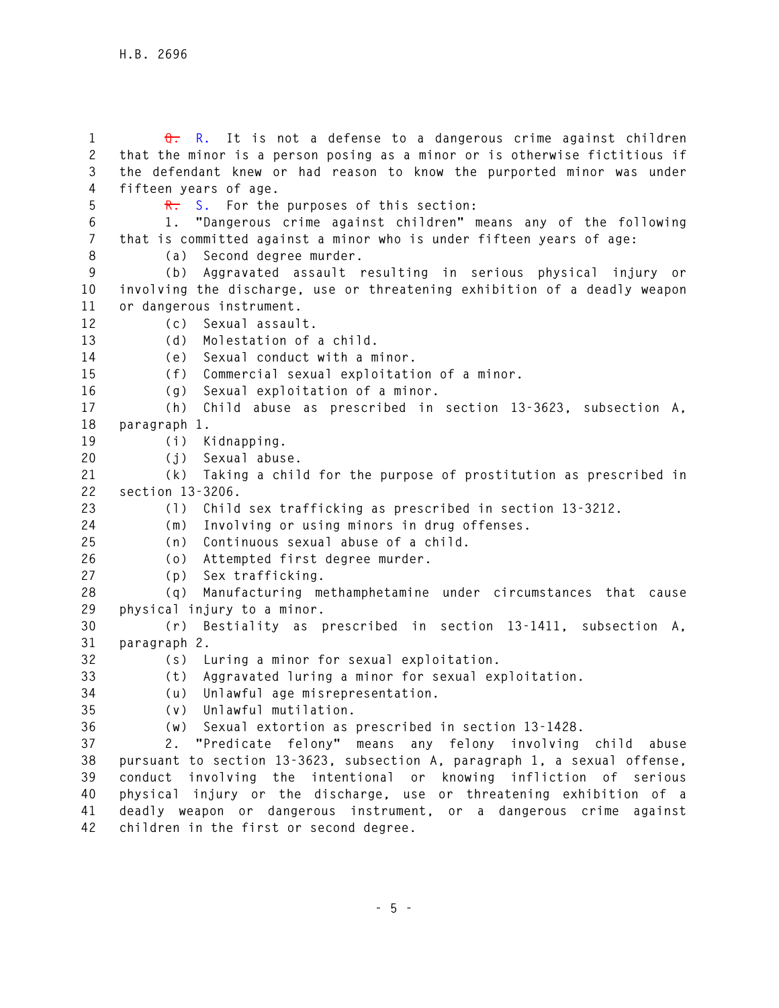**1 Q. R. It is not a defense to a dangerous crime against children 2 that the minor is a person posing as a minor or is otherwise fictitious if 3 the defendant knew or had reason to know the purported minor was under 4 fifteen years of age. 5 R. S. For the purposes of this section: 6 1. "Dangerous crime against children" means any of the following 7 that is committed against a minor who is under fifteen years of age: 8 (a) Second degree murder. 9 (b) Aggravated assault resulting in serious physical injury or 10 involving the discharge, use or threatening exhibition of a deadly weapon 11 or dangerous instrument. 12 (c) Sexual assault. 13 (d) Molestation of a child. 14 (e) Sexual conduct with a minor. 15 (f) Commercial sexual exploitation of a minor. 16 (g) Sexual exploitation of a minor. 17 (h) Child abuse as prescribed in section 13-3623, subsection A, 18 paragraph 1. 19 (i) Kidnapping. 20 (j) Sexual abuse. 21 (k) Taking a child for the purpose of prostitution as prescribed in 22 section 13-3206. 23 (l) Child sex trafficking as prescribed in section 13-3212. 24 (m) Involving or using minors in drug offenses. 25 (n) Continuous sexual abuse of a child. 26 (o) Attempted first degree murder. 27 (p) Sex trafficking. 28 (q) Manufacturing methamphetamine under circumstances that cause 29 physical injury to a minor. 30 (r) Bestiality as prescribed in section 13-1411, subsection A, 31 paragraph 2. 32 (s) Luring a minor for sexual exploitation. 33 (t) Aggravated luring a minor for sexual exploitation. 34 (u) Unlawful age misrepresentation. 35 (v) Unlawful mutilation. 36 (w) Sexual extortion as prescribed in section 13-1428. 37 2. "Predicate felony" means any felony involving child abuse 38 pursuant to section 13-3623, subsection A, paragraph 1, a sexual offense, 39 conduct involving the intentional or knowing infliction of serious 40 physical injury or the discharge, use or threatening exhibition of a 41 deadly weapon or dangerous instrument, or a dangerous crime against** 

**42 children in the first or second degree.**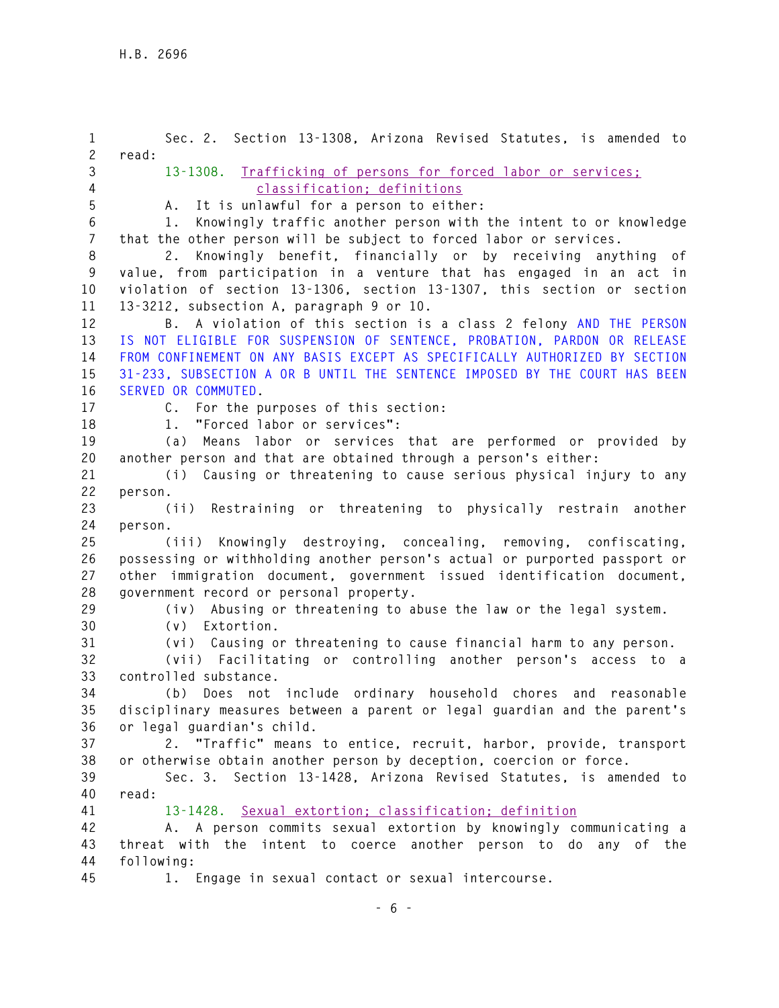**1 Sec. 2. Section 13-1308, Arizona Revised Statutes, is amended to 2 read: 3 13-1308. Trafficking of persons for forced labor or services; 4 classification; definitions 5 A. It is unlawful for a person to either: 6 1. Knowingly traffic another person with the intent to or knowledge 7 that the other person will be subject to forced labor or services. 8 2. Knowingly benefit, financially or by receiving anything of 9 value, from participation in a venture that has engaged in an act in 10 violation of section 13-1306, section 13-1307, this section or section 11 13-3212, subsection A, paragraph 9 or 10. 12 B. A violation of this section is a class 2 felony AND THE PERSON 13 IS NOT ELIGIBLE FOR SUSPENSION OF SENTENCE, PROBATION, PARDON OR RELEASE 14 FROM CONFINEMENT ON ANY BASIS EXCEPT AS SPECIFICALLY AUTHORIZED BY SECTION 15 31-233, SUBSECTION A OR B UNTIL THE SENTENCE IMPOSED BY THE COURT HAS BEEN 16 SERVED OR COMMUTED. 17 C. For the purposes of this section: 18 1. "Forced labor or services": 19 (a) Means labor or services that are performed or provided by 20 another person and that are obtained through a person's either: 21 (i) Causing or threatening to cause serious physical injury to any 22 person. 23 (ii) Restraining or threatening to physically restrain another 24 person. 25 (iii) Knowingly destroying, concealing, removing, confiscating, 26 possessing or withholding another person's actual or purported passport or 27 other immigration document, government issued identification document, 28 government record or personal property. 29 (iv) Abusing or threatening to abuse the law or the legal system. 30 (v) Extortion. 31 (vi) Causing or threatening to cause financial harm to any person. 32 (vii) Facilitating or controlling another person's access to a 33 controlled substance. 34 (b) Does not include ordinary household chores and reasonable 35 disciplinary measures between a parent or legal guardian and the parent's 36 or legal guardian's child. 37 2. "Traffic" means to entice, recruit, harbor, provide, transport 38 or otherwise obtain another person by deception, coercion or force. 39 Sec. 3. Section 13-1428, Arizona Revised Statutes, is amended to 40 read: 41 13-1428. Sexual extortion; classification; definition 42 A. A person commits sexual extortion by knowingly communicating a 43 threat with the intent to coerce another person to do any of the 44 following: 45 1. Engage in sexual contact or sexual intercourse.**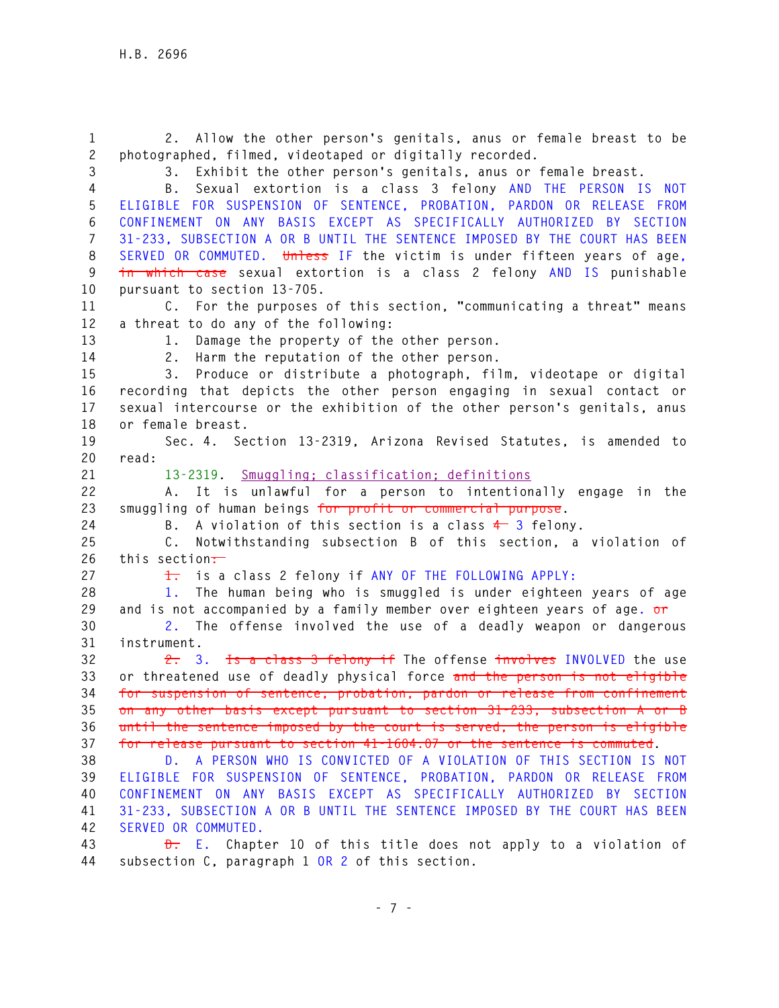**1 2. Allow the other person's genitals, anus or female breast to be 2 photographed, filmed, videotaped or digitally recorded. 3 3. Exhibit the other person's genitals, anus or female breast. 4 B. Sexual extortion is a class 3 felony AND THE PERSON IS NOT 5 ELIGIBLE FOR SUSPENSION OF SENTENCE, PROBATION, PARDON OR RELEASE FROM 6 CONFINEMENT ON ANY BASIS EXCEPT AS SPECIFICALLY AUTHORIZED BY SECTION 7 31-233, SUBSECTION A OR B UNTIL THE SENTENCE IMPOSED BY THE COURT HAS BEEN 8 SERVED OR COMMUTED. Unless IF the victim is under fifteen years of age, 9 in which case sexual extortion is a class 2 felony AND IS punishable 10 pursuant to section 13-705. 11 C. For the purposes of this section, "communicating a threat" means 12 a threat to do any of the following: 13 1. Damage the property of the other person. 14 2. Harm the reputation of the other person. 15 3. Produce or distribute a photograph, film, videotape or digital 16 recording that depicts the other person engaging in sexual contact or 17 sexual intercourse or the exhibition of the other person's genitals, anus 18 or female breast. 19 Sec. 4. Section 13-2319, Arizona Revised Statutes, is amended to 20 read: 21 13-2319. Smuggling; classification; definitions 22 A. It is unlawful for a person to intentionally engage in the 23 smuggling of human beings for profit or commercial purpose. 24 B. A violation of this section is a class 4 3 felony. 25 C. Notwithstanding subsection B of this section, a violation of 26 this section: 27 1. is a class 2 felony if ANY OF THE FOLLOWING APPLY: 28 1. The human being who is smuggled is under eighteen years of age 29 and is not accompanied by a family member over eighteen years of age. or 30 2. The offense involved the use of a deadly weapon or dangerous 31 instrument. 32 2. 3. Is a class 3 felony if The offense involves INVOLVED the use 33 or threatened use of deadly physical force and the person is not eligible 34 for suspension of sentence, probation, pardon or release from confinement 35 on any other basis except pursuant to section 31-233, subsection A or B 36 until the sentence imposed by the court is served, the person is eligible 37 for release pursuant to section 41-1604.07 or the sentence is commuted. 38 D. A PERSON WHO IS CONVICTED OF A VIOLATION OF THIS SECTION IS NOT 39 ELIGIBLE FOR SUSPENSION OF SENTENCE, PROBATION, PARDON OR RELEASE FROM 40 CONFINEMENT ON ANY BASIS EXCEPT AS SPECIFICALLY AUTHORIZED BY SECTION 41 31-233, SUBSECTION A OR B UNTIL THE SENTENCE IMPOSED BY THE COURT HAS BEEN 42 SERVED OR COMMUTED. 43 D. E. Chapter 10 of this title does not apply to a violation of 44 subsection C, paragraph 1 OR 2 of this section.**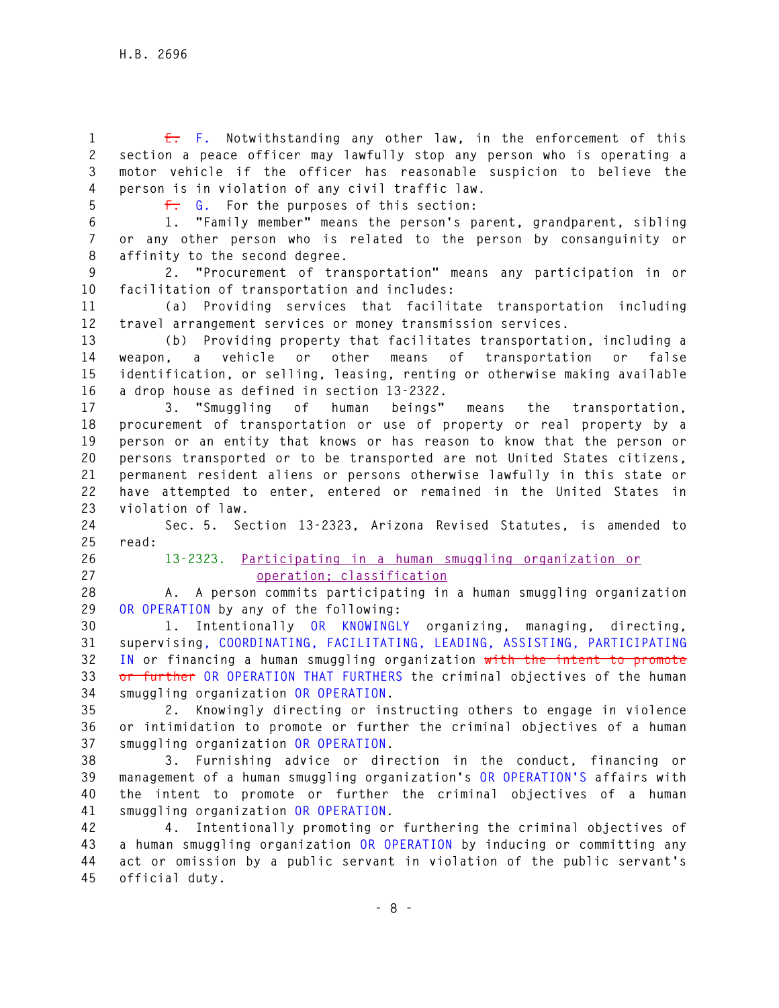**1 E. F. Notwithstanding any other law, in the enforcement of this 2 section a peace officer may lawfully stop any person who is operating a 3 motor vehicle if the officer has reasonable suspicion to believe the 4 person is in violation of any civil traffic law.** 

**5 F. G. For the purposes of this section:** 

**6 1. "Family member" means the person's parent, grandparent, sibling 7 or any other person who is related to the person by consanguinity or 8 affinity to the second degree.** 

**9 2. "Procurement of transportation" means any participation in or 10 facilitation of transportation and includes:** 

**11 (a) Providing services that facilitate transportation including 12 travel arrangement services or money transmission services.** 

**13 (b) Providing property that facilitates transportation, including a 14 weapon, a vehicle or other means of transportation or false 15 identification, or selling, leasing, renting or otherwise making available 16 a drop house as defined in section 13-2322.** 

**17 3. "Smuggling of human beings" means the transportation, 18 procurement of transportation or use of property or real property by a 19 person or an entity that knows or has reason to know that the person or 20 persons transported or to be transported are not United States citizens, 21 permanent resident aliens or persons otherwise lawfully in this state or 22 have attempted to enter, entered or remained in the United States in 23 violation of law.** 

**24 Sec. 5. Section 13-2323, Arizona Revised Statutes, is amended to 25 read:** 

- 
- 

**26 13-2323. Participating in a human smuggling organization or 27 operation; classification**

**28 A. A person commits participating in a human smuggling organization 29 OR OPERATION by any of the following:** 

**30 1. Intentionally OR KNOWINGLY organizing, managing, directing, 31 supervising, COORDINATING, FACILITATING, LEADING, ASSISTING, PARTICIPATING 32 IN or financing a human smuggling organization with the intent to promote 33 or further OR OPERATION THAT FURTHERS the criminal objectives of the human 34 smuggling organization OR OPERATION.** 

**35 2. Knowingly directing or instructing others to engage in violence 36 or intimidation to promote or further the criminal objectives of a human 37 smuggling organization OR OPERATION.** 

**38 3. Furnishing advice or direction in the conduct, financing or 39 management of a human smuggling organization's OR OPERATION'S affairs with 40 the intent to promote or further the criminal objectives of a human 41 smuggling organization OR OPERATION.** 

**42 4. Intentionally promoting or furthering the criminal objectives of 43 a human smuggling organization OR OPERATION by inducing or committing any 44 act or omission by a public servant in violation of the public servant's 45 official duty.**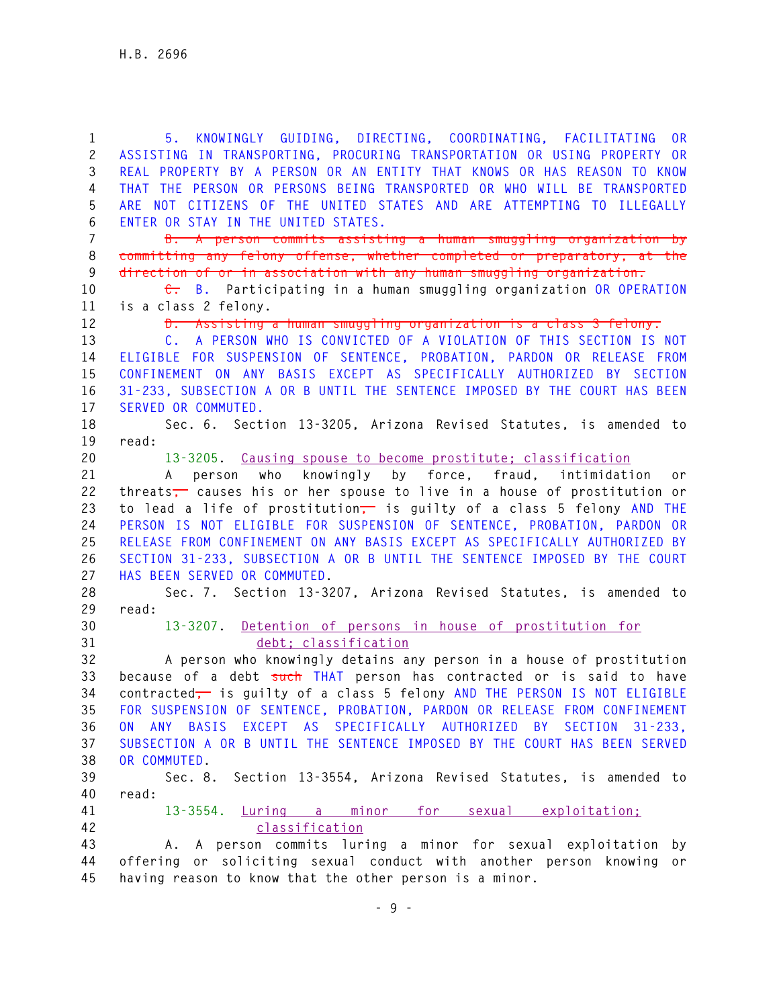**1 5. KNOWINGLY GUIDING, DIRECTING, COORDINATING, FACILITATING OR 2 ASSISTING IN TRANSPORTING, PROCURING TRANSPORTATION OR USING PROPERTY OR 3 REAL PROPERTY BY A PERSON OR AN ENTITY THAT KNOWS OR HAS REASON TO KNOW 4 THAT THE PERSON OR PERSONS BEING TRANSPORTED OR WHO WILL BE TRANSPORTED 5 ARE NOT CITIZENS OF THE UNITED STATES AND ARE ATTEMPTING TO ILLEGALLY 6 ENTER OR STAY IN THE UNITED STATES. 7 B. A person commits assisting a human smuggling organization by 8 committing any felony offense, whether completed or preparatory, at the 9 direction of or in association with any human smuggling organization. 10 C. B. Participating in a human smuggling organization OR OPERATION 11 is a class 2 felony. 12 D. Assisting a human smuggling organization is a class 3 felony. 13 C. A PERSON WHO IS CONVICTED OF A VIOLATION OF THIS SECTION IS NOT 14 ELIGIBLE FOR SUSPENSION OF SENTENCE, PROBATION, PARDON OR RELEASE FROM 15 CONFINEMENT ON ANY BASIS EXCEPT AS SPECIFICALLY AUTHORIZED BY SECTION 16 31-233, SUBSECTION A OR B UNTIL THE SENTENCE IMPOSED BY THE COURT HAS BEEN 17 SERVED OR COMMUTED. 18 Sec. 6. Section 13-3205, Arizona Revised Statutes, is amended to 19 read: 20 13-3205. Causing spouse to become prostitute; classification 21 A person who knowingly by force, fraud, intimidation or 22 threats, causes his or her spouse to live in a house of prostitution or 23 to lead a life of prostitution, is guilty of a class 5 felony AND THE 24 PERSON IS NOT ELIGIBLE FOR SUSPENSION OF SENTENCE, PROBATION, PARDON OR 25 RELEASE FROM CONFINEMENT ON ANY BASIS EXCEPT AS SPECIFICALLY AUTHORIZED BY 26 SECTION 31-233, SUBSECTION A OR B UNTIL THE SENTENCE IMPOSED BY THE COURT 27 HAS BEEN SERVED OR COMMUTED. 28 Sec. 7. Section 13-3207, Arizona Revised Statutes, is amended to 29 read: 30 13-3207. Detention of persons in house of prostitution for 31 debt; classification 32 A person who knowingly detains any person in a house of prostitution 33 because of a debt such THAT person has contracted or is said to have 34 contracted, is guilty of a class 5 felony AND THE PERSON IS NOT ELIGIBLE 35 FOR SUSPENSION OF SENTENCE, PROBATION, PARDON OR RELEASE FROM CONFINEMENT 36 ON ANY BASIS EXCEPT AS SPECIFICALLY AUTHORIZED BY SECTION 31-233, 37 SUBSECTION A OR B UNTIL THE SENTENCE IMPOSED BY THE COURT HAS BEEN SERVED 38 OR COMMUTED. 39 Sec. 8. Section 13-3554, Arizona Revised Statutes, is amended to 40 read: 41 13-3554. Luring a minor for sexual exploitation; 42 classification 43 A. A person commits luring a minor for sexual exploitation by 44 offering or soliciting sexual conduct with another person knowing or 45 having reason to know that the other person is a minor.**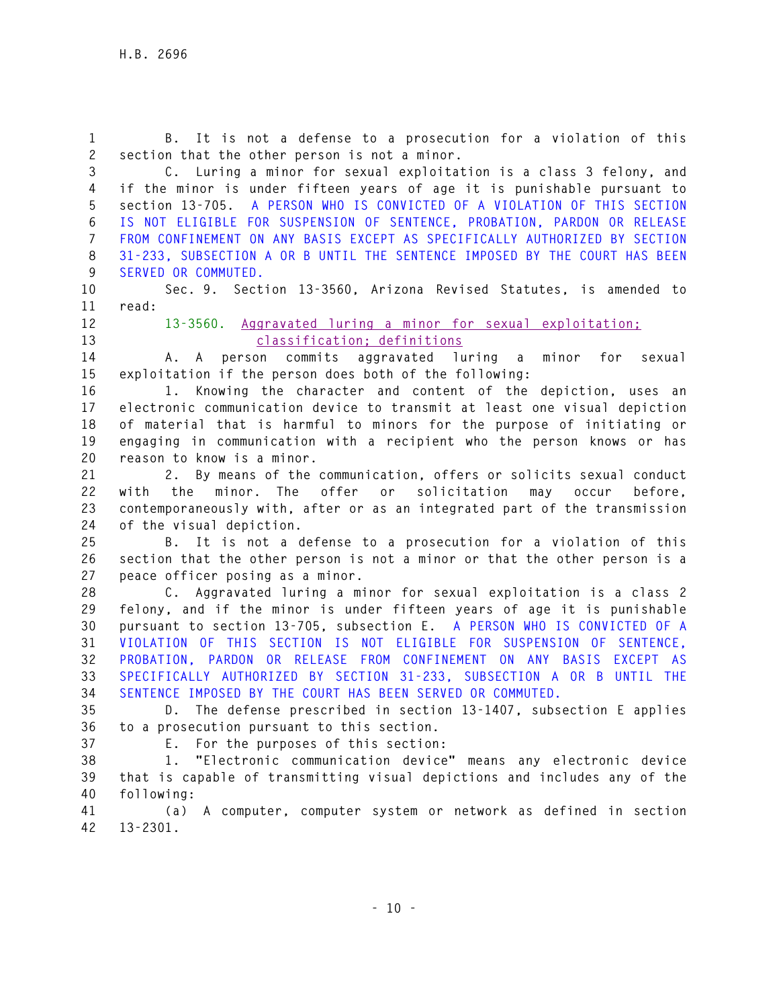**1 B. It is not a defense to a prosecution for a violation of this 2 section that the other person is not a minor. 3 C. Luring a minor for sexual exploitation is a class 3 felony, and**

**4 if the minor is under fifteen years of age it is punishable pursuant to 5 section 13-705. A PERSON WHO IS CONVICTED OF A VIOLATION OF THIS SECTION 6 IS NOT ELIGIBLE FOR SUSPENSION OF SENTENCE, PROBATION, PARDON OR RELEASE 7 FROM CONFINEMENT ON ANY BASIS EXCEPT AS SPECIFICALLY AUTHORIZED BY SECTION 8 31-233, SUBSECTION A OR B UNTIL THE SENTENCE IMPOSED BY THE COURT HAS BEEN 9 SERVED OR COMMUTED.**

**10 Sec. 9. Section 13-3560, Arizona Revised Statutes, is amended to** 

**11 read:** 

**12 13-3560. Aggravated luring a minor for sexual exploitation; 13 classification; definitions**

**14 A. A person commits aggravated luring a minor for sexual 15 exploitation if the person does both of the following:** 

**16 1. Knowing the character and content of the depiction, uses an 17 electronic communication device to transmit at least one visual depiction 18 of material that is harmful to minors for the purpose of initiating or 19 engaging in communication with a recipient who the person knows or has 20 reason to know is a minor.** 

**21 2. By means of the communication, offers or solicits sexual conduct 22 with the minor. The offer or solicitation may occur before, 23 contemporaneously with, after or as an integrated part of the transmission 24 of the visual depiction.** 

**25 B. It is not a defense to a prosecution for a violation of this 26 section that the other person is not a minor or that the other person is a 27 peace officer posing as a minor.** 

**28 C. Aggravated luring a minor for sexual exploitation is a class 2 29 felony, and if the minor is under fifteen years of age it is punishable 30 pursuant to section 13-705, subsection E. A PERSON WHO IS CONVICTED OF A 31 VIOLATION OF THIS SECTION IS NOT ELIGIBLE FOR SUSPENSION OF SENTENCE, 32 PROBATION, PARDON OR RELEASE FROM CONFINEMENT ON ANY BASIS EXCEPT AS 33 SPECIFICALLY AUTHORIZED BY SECTION 31-233, SUBSECTION A OR B UNTIL THE 34 SENTENCE IMPOSED BY THE COURT HAS BEEN SERVED OR COMMUTED.**

**35 D. The defense prescribed in section 13-1407, subsection E applies 36 to a prosecution pursuant to this section.** 

**37 E. For the purposes of this section:** 

**38 1. "Electronic communication device" means any electronic device 39 that is capable of transmitting visual depictions and includes any of the 40 following:** 

**41 (a) A computer, computer system or network as defined in section 42 13-2301.**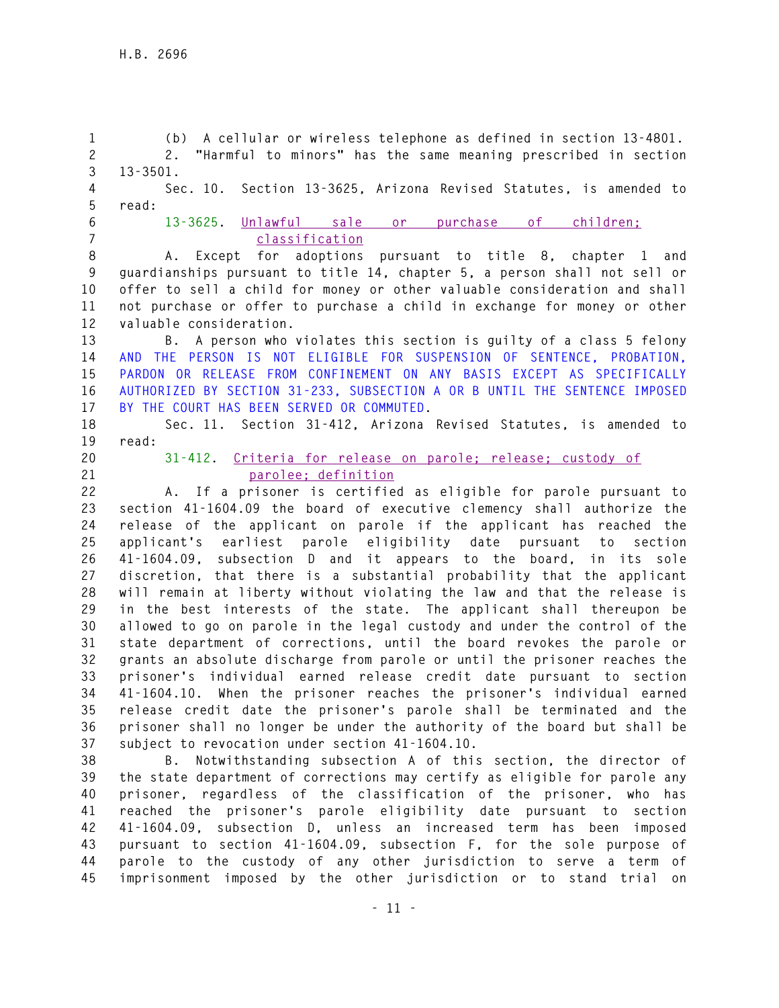**1 (b) A cellular or wireless telephone as defined in section 13-4801. 2 2. "Harmful to minors" has the same meaning prescribed in section 3 13-3501. 4 Sec. 10. Section 13-3625, Arizona Revised Statutes, is amended to 5 read: 6 13-3625. Unlawful sale or purchase of children; 7 classification 8 A. Except for adoptions pursuant to title 8, chapter 1 and 9 guardianships pursuant to title 14, chapter 5, a person shall not sell or 10 offer to sell a child for money or other valuable consideration and shall 11 not purchase or offer to purchase a child in exchange for money or other 12 valuable consideration. 13 B. A person who violates this section is guilty of a class 5 felony 14 AND THE PERSON IS NOT ELIGIBLE FOR SUSPENSION OF SENTENCE, PROBATION, 15 PARDON OR RELEASE FROM CONFINEMENT ON ANY BASIS EXCEPT AS SPECIFICALLY 16 AUTHORIZED BY SECTION 31-233, SUBSECTION A OR B UNTIL THE SENTENCE IMPOSED 17 BY THE COURT HAS BEEN SERVED OR COMMUTED. 18 Sec. 11. Section 31-412, Arizona Revised Statutes, is amended to 19 read: 20 31-412. Criteria for release on parole; release; custody of 21 parolee; definition 22 A. If a prisoner is certified as eligible for parole pursuant to 23 section 41-1604.09 the board of executive clemency shall authorize the 24 release of the applicant on parole if the applicant has reached the 25 applicant's earliest parole eligibility date pursuant to section 26 41-1604.09, subsection D and it appears to the board, in its sole 27 discretion, that there is a substantial probability that the applicant 28 will remain at liberty without violating the law and that the release is 29 in the best interests of the state. The applicant shall thereupon be 30 allowed to go on parole in the legal custody and under the control of the 31 state department of corrections, until the board revokes the parole or 32 grants an absolute discharge from parole or until the prisoner reaches the 33 prisoner's individual earned release credit date pursuant to section 34 41-1604.10. When the prisoner reaches the prisoner's individual earned 35 release credit date the prisoner's parole shall be terminated and the 36 prisoner shall no longer be under the authority of the board but shall be 37 subject to revocation under section 41-1604.10. 38 B. Notwithstanding subsection A of this section, the director of 39 the state department of corrections may certify as eligible for parole any 40 prisoner, regardless of the classification of the prisoner, who has 41 reached the prisoner's parole eligibility date pursuant to section 42 41-1604.09, subsection D, unless an increased term has been imposed 43 pursuant to section 41-1604.09, subsection F, for the sole purpose of 44 parole to the custody of any other jurisdiction to serve a term of 45 imprisonment imposed by the other jurisdiction or to stand trial on**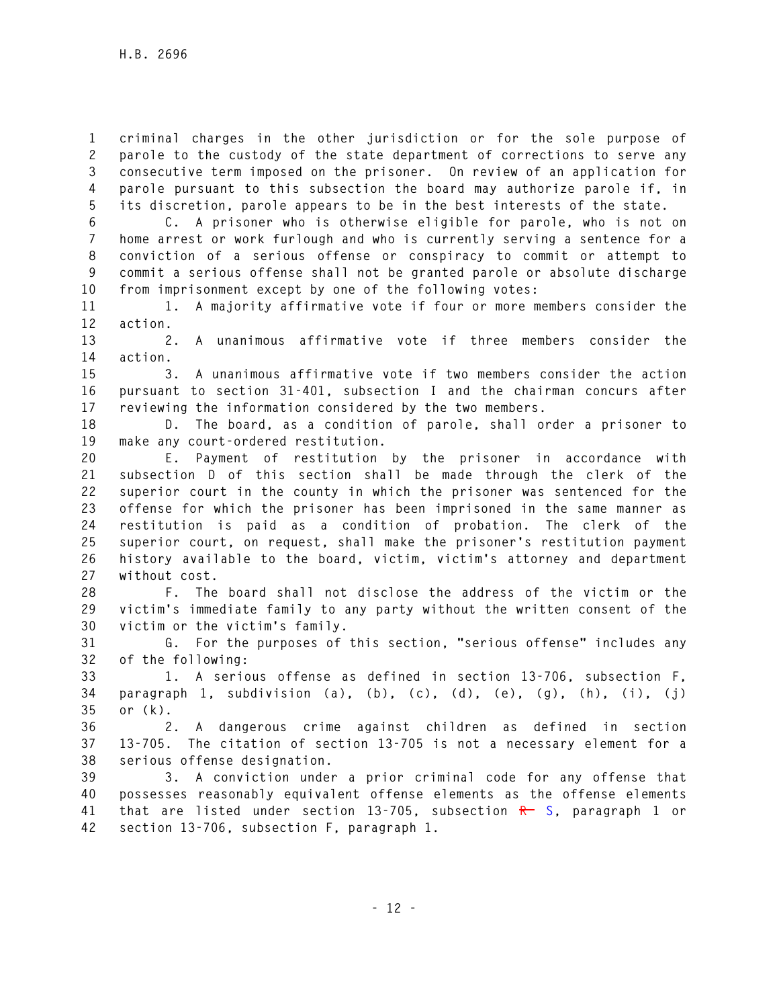**1 criminal charges in the other jurisdiction or for the sole purpose of 2 parole to the custody of the state department of corrections to serve any 3 consecutive term imposed on the prisoner. On review of an application for 4 parole pursuant to this subsection the board may authorize parole if, in 5 its discretion, parole appears to be in the best interests of the state.** 

**6 C. A prisoner who is otherwise eligible for parole, who is not on 7 home arrest or work furlough and who is currently serving a sentence for a 8 conviction of a serious offense or conspiracy to commit or attempt to 9 commit a serious offense shall not be granted parole or absolute discharge 10 from imprisonment except by one of the following votes:** 

**11 1. A majority affirmative vote if four or more members consider the 12 action.** 

**13 2. A unanimous affirmative vote if three members consider the 14 action.** 

**15 3. A unanimous affirmative vote if two members consider the action 16 pursuant to section 31-401, subsection I and the chairman concurs after 17 reviewing the information considered by the two members.** 

**18 D. The board, as a condition of parole, shall order a prisoner to 19 make any court-ordered restitution.** 

**20 E. Payment of restitution by the prisoner in accordance with 21 subsection D of this section shall be made through the clerk of the 22 superior court in the county in which the prisoner was sentenced for the 23 offense for which the prisoner has been imprisoned in the same manner as 24 restitution is paid as a condition of probation. The clerk of the 25 superior court, on request, shall make the prisoner's restitution payment 26 history available to the board, victim, victim's attorney and department 27 without cost.** 

**28 F. The board shall not disclose the address of the victim or the 29 victim's immediate family to any party without the written consent of the 30 victim or the victim's family.** 

**31 G. For the purposes of this section, "serious offense" includes any 32 of the following:** 

**33 1. A serious offense as defined in section 13-706, subsection F, 34 paragraph 1, subdivision (a), (b), (c), (d), (e), (g), (h), (i), (j) 35 or (k).** 

**36 2. A dangerous crime against children as defined in section 37 13-705. The citation of section 13-705 is not a necessary element for a 38 serious offense designation.** 

**39 3. A conviction under a prior criminal code for any offense that 40 possesses reasonably equivalent offense elements as the offense elements 41 that are listed under section 13-705, subsection R S, paragraph 1 or 42 section 13-706, subsection F, paragraph 1.**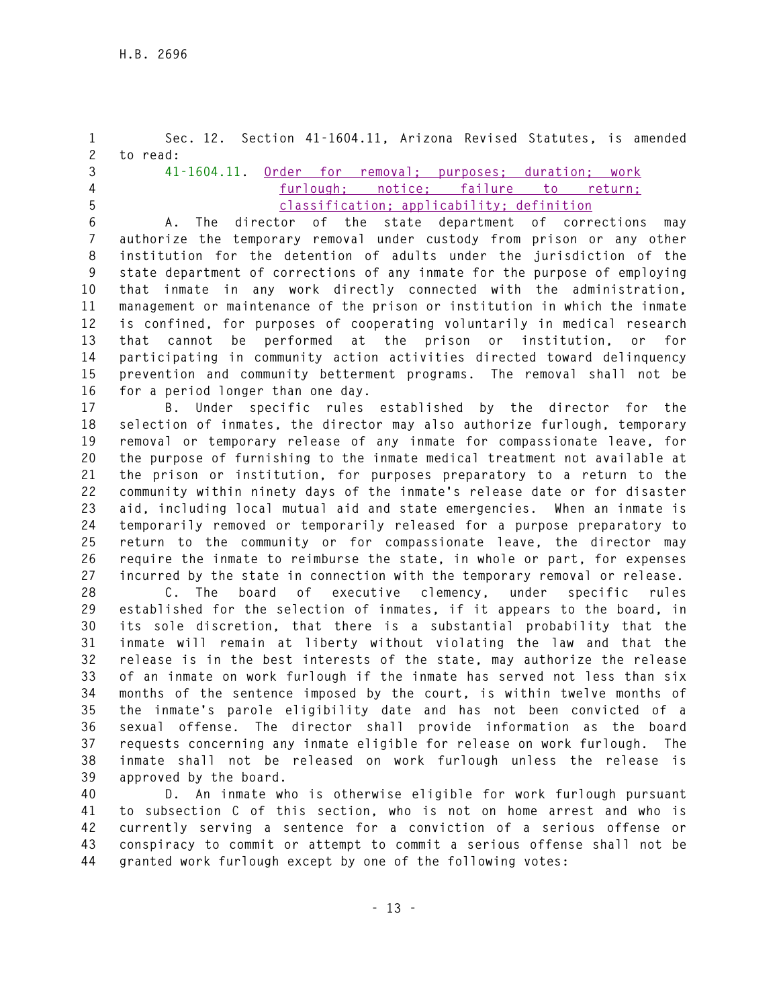**1 Sec. 12. Section 41-1604.11, Arizona Revised Statutes, is amended 2 to read: 3 41-1604.11. Order for removal; purposes; duration; work 4 furlough; notice; failure to return; 5 classification; applicability; definition 6 A. The director of the state department of corrections may 7 authorize the temporary removal under custody from prison or any other 8 institution for the detention of adults under the jurisdiction of the 9 state department of corrections of any inmate for the purpose of employing 10 that inmate in any work directly connected with the administration, 11 management or maintenance of the prison or institution in which the inmate 12 is confined, for purposes of cooperating voluntarily in medical research 13 that cannot be performed at the prison or institution, or for 14 participating in community action activities directed toward delinquency 15 prevention and community betterment programs. The removal shall not be 16 for a period longer than one day.** 

**17 B. Under specific rules established by the director for the 18 selection of inmates, the director may also authorize furlough, temporary 19 removal or temporary release of any inmate for compassionate leave, for 20 the purpose of furnishing to the inmate medical treatment not available at 21 the prison or institution, for purposes preparatory to a return to the 22 community within ninety days of the inmate's release date or for disaster 23 aid, including local mutual aid and state emergencies. When an inmate is 24 temporarily removed or temporarily released for a purpose preparatory to 25 return to the community or for compassionate leave, the director may 26 require the inmate to reimburse the state, in whole or part, for expenses 27 incurred by the state in connection with the temporary removal or release.** 

**28 C. The board of executive clemency, under specific rules 29 established for the selection of inmates, if it appears to the board, in 30 its sole discretion, that there is a substantial probability that the 31 inmate will remain at liberty without violating the law and that the 32 release is in the best interests of the state, may authorize the release 33 of an inmate on work furlough if the inmate has served not less than six 34 months of the sentence imposed by the court, is within twelve months of 35 the inmate's parole eligibility date and has not been convicted of a 36 sexual offense. The director shall provide information as the board 37 requests concerning any inmate eligible for release on work furlough. The 38 inmate shall not be released on work furlough unless the release is 39 approved by the board.** 

**40 D. An inmate who is otherwise eligible for work furlough pursuant 41 to subsection C of this section, who is not on home arrest and who is 42 currently serving a sentence for a conviction of a serious offense or 43 conspiracy to commit or attempt to commit a serious offense shall not be 44 granted work furlough except by one of the following votes:**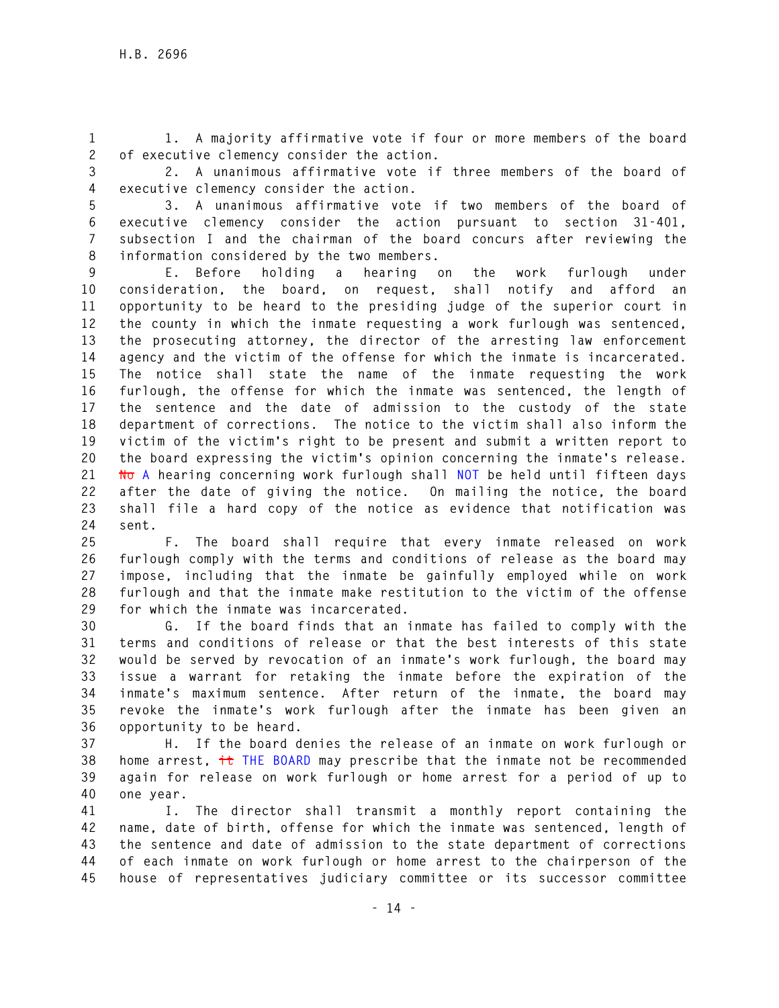**1 1. A majority affirmative vote if four or more members of the board 2 of executive clemency consider the action.** 

**3 2. A unanimous affirmative vote if three members of the board of 4 executive clemency consider the action.** 

**5 3. A unanimous affirmative vote if two members of the board of 6 executive clemency consider the action pursuant to section 31-401, 7 subsection I and the chairman of the board concurs after reviewing the 8 information considered by the two members.** 

**9 E. Before holding a hearing on the work furlough under 10 consideration, the board, on request, shall notify and afford an 11 opportunity to be heard to the presiding judge of the superior court in 12 the county in which the inmate requesting a work furlough was sentenced, 13 the prosecuting attorney, the director of the arresting law enforcement 14 agency and the victim of the offense for which the inmate is incarcerated. 15 The notice shall state the name of the inmate requesting the work 16 furlough, the offense for which the inmate was sentenced, the length of 17 the sentence and the date of admission to the custody of the state 18 department of corrections. The notice to the victim shall also inform the 19 victim of the victim's right to be present and submit a written report to 20 the board expressing the victim's opinion concerning the inmate's release. 21 No A hearing concerning work furlough shall NOT be held until fifteen days 22 after the date of giving the notice. On mailing the notice, the board 23 shall file a hard copy of the notice as evidence that notification was 24 sent.** 

**25 F. The board shall require that every inmate released on work 26 furlough comply with the terms and conditions of release as the board may 27 impose, including that the inmate be gainfully employed while on work 28 furlough and that the inmate make restitution to the victim of the offense 29 for which the inmate was incarcerated.** 

**30 G. If the board finds that an inmate has failed to comply with the 31 terms and conditions of release or that the best interests of this state 32 would be served by revocation of an inmate's work furlough, the board may 33 issue a warrant for retaking the inmate before the expiration of the 34 inmate's maximum sentence. After return of the inmate, the board may 35 revoke the inmate's work furlough after the inmate has been given an 36 opportunity to be heard.** 

**37 H. If the board denies the release of an inmate on work furlough or 38 home arrest, it THE BOARD may prescribe that the inmate not be recommended 39 again for release on work furlough or home arrest for a period of up to 40 one year.** 

**41 I. The director shall transmit a monthly report containing the 42 name, date of birth, offense for which the inmate was sentenced, length of 43 the sentence and date of admission to the state department of corrections 44 of each inmate on work furlough or home arrest to the chairperson of the 45 house of representatives judiciary committee or its successor committee**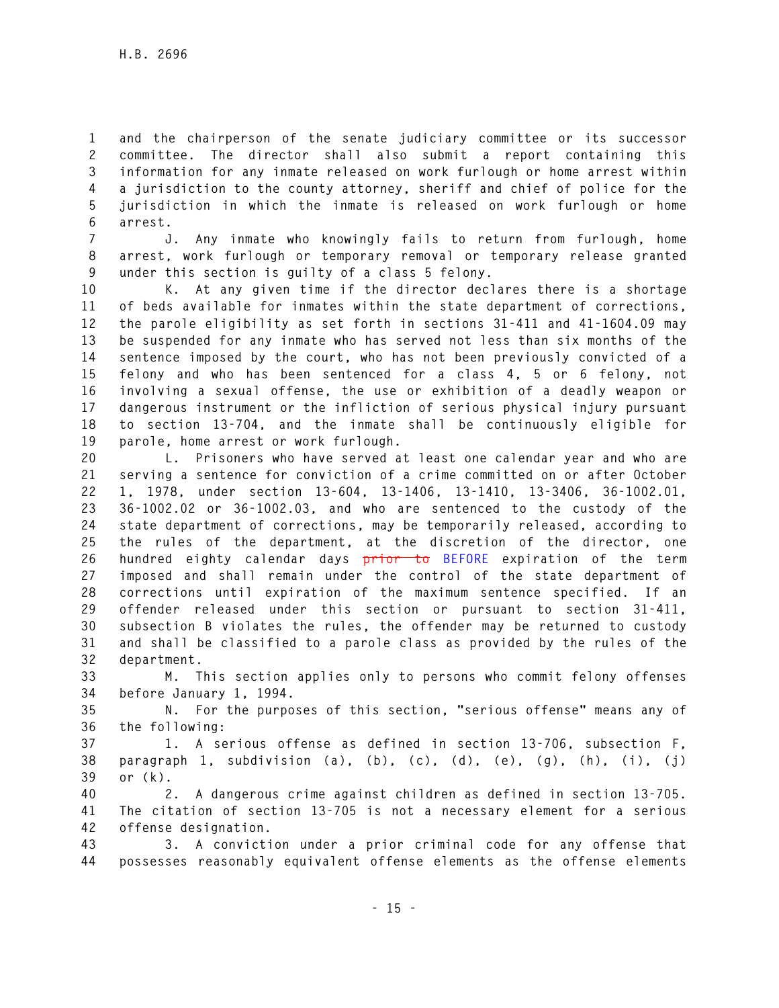**1 and the chairperson of the senate judiciary committee or its successor 2 committee. The director shall also submit a report containing this 3 information for any inmate released on work furlough or home arrest within 4 a jurisdiction to the county attorney, sheriff and chief of police for the 5 jurisdiction in which the inmate is released on work furlough or home 6 arrest.** 

**7 J. Any inmate who knowingly fails to return from furlough, home 8 arrest, work furlough or temporary removal or temporary release granted 9 under this section is guilty of a class 5 felony.** 

**10 K. At any given time if the director declares there is a shortage 11 of beds available for inmates within the state department of corrections, 12 the parole eligibility as set forth in sections 31-411 and 41-1604.09 may 13 be suspended for any inmate who has served not less than six months of the 14 sentence imposed by the court, who has not been previously convicted of a 15 felony and who has been sentenced for a class 4, 5 or 6 felony, not 16 involving a sexual offense, the use or exhibition of a deadly weapon or 17 dangerous instrument or the infliction of serious physical injury pursuant 18 to section 13-704, and the inmate shall be continuously eligible for 19 parole, home arrest or work furlough.** 

**20 L. Prisoners who have served at least one calendar year and who are 21 serving a sentence for conviction of a crime committed on or after October 22 1, 1978, under section 13-604, 13-1406, 13-1410, 13-3406, 36-1002.01, 23 36-1002.02 or 36-1002.03, and who are sentenced to the custody of the 24 state department of corrections, may be temporarily released, according to 25 the rules of the department, at the discretion of the director, one 26 hundred eighty calendar days prior to BEFORE expiration of the term 27 imposed and shall remain under the control of the state department of 28 corrections until expiration of the maximum sentence specified. If an 29 offender released under this section or pursuant to section 31-411, 30 subsection B violates the rules, the offender may be returned to custody 31 and shall be classified to a parole class as provided by the rules of the 32 department.** 

**33 M. This section applies only to persons who commit felony offenses 34 before January 1, 1994.** 

**35 N. For the purposes of this section, "serious offense" means any of 36 the following:** 

**37 1. A serious offense as defined in section 13-706, subsection F, 38 paragraph 1, subdivision (a), (b), (c), (d), (e), (g), (h), (i), (j) 39 or (k).** 

**40 2. A dangerous crime against children as defined in section 13-705. 41 The citation of section 13-705 is not a necessary element for a serious 42 offense designation.** 

**43 3. A conviction under a prior criminal code for any offense that 44 possesses reasonably equivalent offense elements as the offense elements**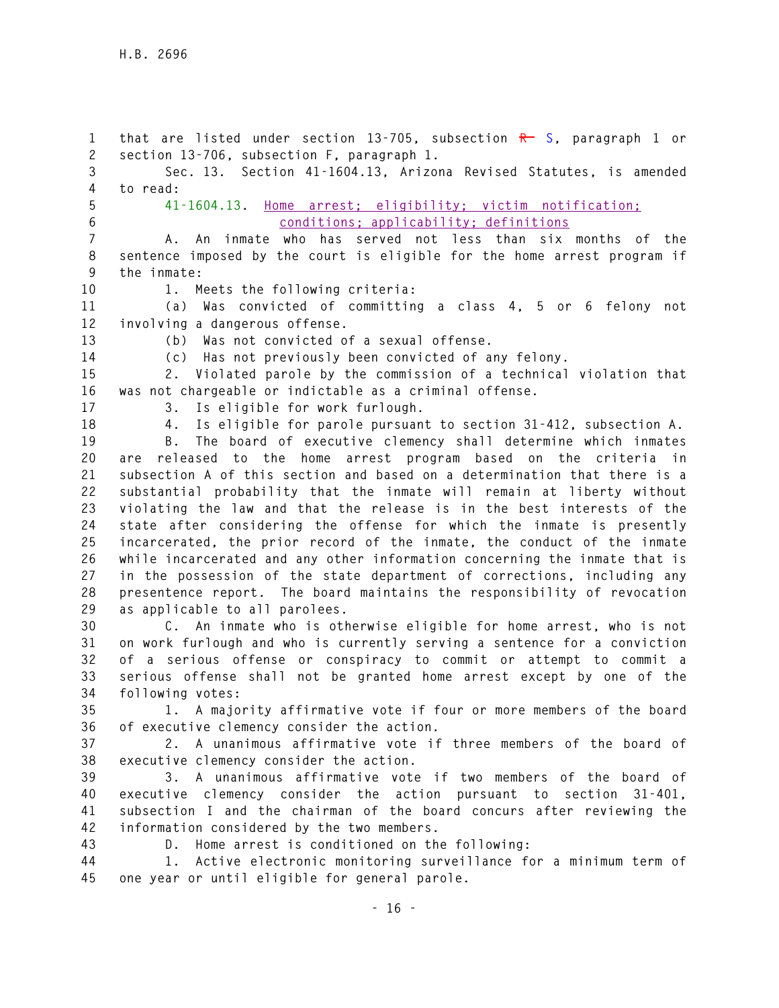1 that are listed under section 13-705, subsection R S, paragraph 1 or **2 section 13-706, subsection F, paragraph 1. 3 Sec. 13. Section 41-1604.13, Arizona Revised Statutes, is amended 4 to read: 5 41-1604.13. Home arrest; eligibility; victim notification; 6 conditions; applicability; definitions 7 A. An inmate who has served not less than six months of the 8 sentence imposed by the court is eligible for the home arrest program if 9 the inmate: 10 1. Meets the following criteria: 11 (a) Was convicted of committing a class 4, 5 or 6 felony not 12 involving a dangerous offense. 13 (b) Was not convicted of a sexual offense. 14 (c) Has not previously been convicted of any felony. 15 2. Violated parole by the commission of a technical violation that 16 was not chargeable or indictable as a criminal offense. 17 3. Is eligible for work furlough. 18 4. Is eligible for parole pursuant to section 31-412, subsection A. 19 B. The board of executive clemency shall determine which inmates 20 are released to the home arrest program based on the criteria in 21 subsection A of this section and based on a determination that there is a 22 substantial probability that the inmate will remain at liberty without 23 violating the law and that the release is in the best interests of the 24 state after considering the offense for which the inmate is presently 25 incarcerated, the prior record of the inmate, the conduct of the inmate 26 while incarcerated and any other information concerning the inmate that is 27 in the possession of the state department of corrections, including any 28 presentence report. The board maintains the responsibility of revocation 29 as applicable to all parolees. 30 C. An inmate who is otherwise eligible for home arrest, who is not 31 on work furlough and who is currently serving a sentence for a conviction 32 of a serious offense or conspiracy to commit or attempt to commit a 33 serious offense shall not be granted home arrest except by one of the 34 following votes: 35 1. A majority affirmative vote if four or more members of the board** 

**36 of executive clemency consider the action.** 

**37 2. A unanimous affirmative vote if three members of the board of 38 executive clemency consider the action.** 

**39 3. A unanimous affirmative vote if two members of the board of 40 executive clemency consider the action pursuant to section 31-401, 41 subsection I and the chairman of the board concurs after reviewing the 42 information considered by the two members.** 

**43 D. Home arrest is conditioned on the following:** 

**44 1. Active electronic monitoring surveillance for a minimum term of 45 one year or until eligible for general parole.**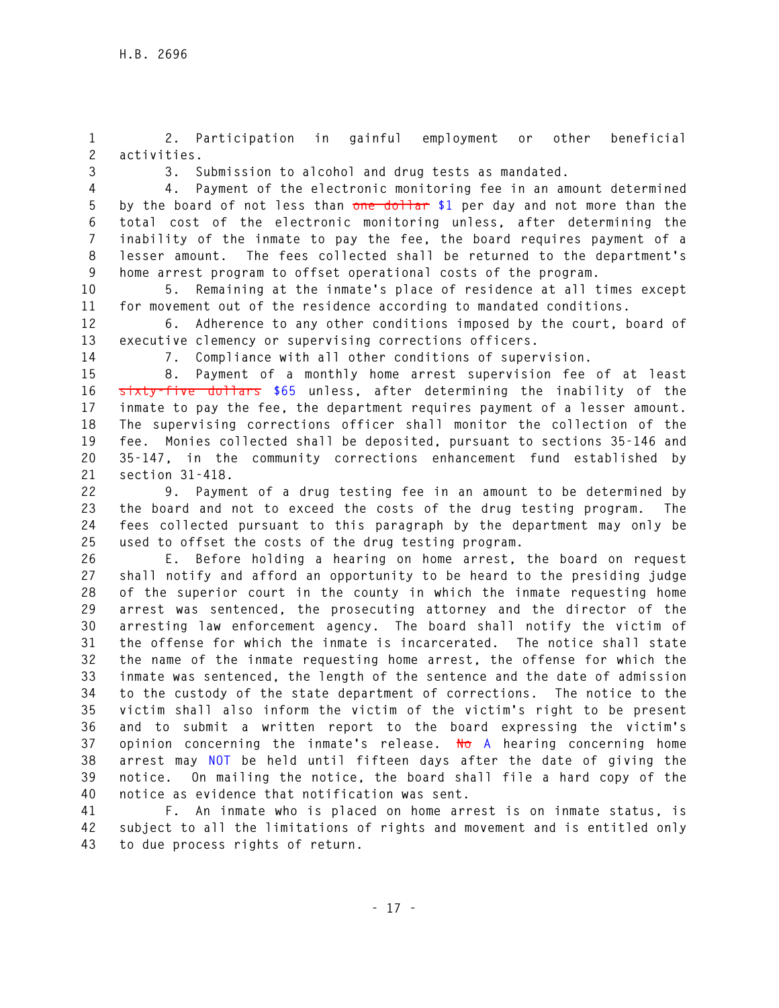**1 2. Participation in gainful employment or other beneficial 2 activities.** 

**3 3. Submission to alcohol and drug tests as mandated.** 

**4 4. Payment of the electronic monitoring fee in an amount determined 5 by the board of not less than one dollar \$1 per day and not more than the 6 total cost of the electronic monitoring unless, after determining the 7 inability of the inmate to pay the fee, the board requires payment of a 8 lesser amount. The fees collected shall be returned to the department's 9 home arrest program to offset operational costs of the program.** 

**10 5. Remaining at the inmate's place of residence at all times except 11 for movement out of the residence according to mandated conditions.** 

**12 6. Adherence to any other conditions imposed by the court, board of 13 executive clemency or supervising corrections officers.** 

**14 7. Compliance with all other conditions of supervision.** 

**15 8. Payment of a monthly home arrest supervision fee of at least 16 sixty-five dollars \$65 unless, after determining the inability of the 17 inmate to pay the fee, the department requires payment of a lesser amount. 18 The supervising corrections officer shall monitor the collection of the 19 fee. Monies collected shall be deposited, pursuant to sections 35-146 and 20 35-147, in the community corrections enhancement fund established by 21 section 31-418.** 

**22 9. Payment of a drug testing fee in an amount to be determined by 23 the board and not to exceed the costs of the drug testing program. The 24 fees collected pursuant to this paragraph by the department may only be 25 used to offset the costs of the drug testing program.** 

**26 E. Before holding a hearing on home arrest, the board on request 27 shall notify and afford an opportunity to be heard to the presiding judge 28 of the superior court in the county in which the inmate requesting home 29 arrest was sentenced, the prosecuting attorney and the director of the 30 arresting law enforcement agency. The board shall notify the victim of 31 the offense for which the inmate is incarcerated. The notice shall state 32 the name of the inmate requesting home arrest, the offense for which the 33 inmate was sentenced, the length of the sentence and the date of admission 34 to the custody of the state department of corrections. The notice to the 35 victim shall also inform the victim of the victim's right to be present 36 and to submit a written report to the board expressing the victim's 37 opinion concerning the inmate's release. No A hearing concerning home 38 arrest may NOT be held until fifteen days after the date of giving the 39 notice. On mailing the notice, the board shall file a hard copy of the 40 notice as evidence that notification was sent.** 

**41 F. An inmate who is placed on home arrest is on inmate status, is 42 subject to all the limitations of rights and movement and is entitled only 43 to due process rights of return.**